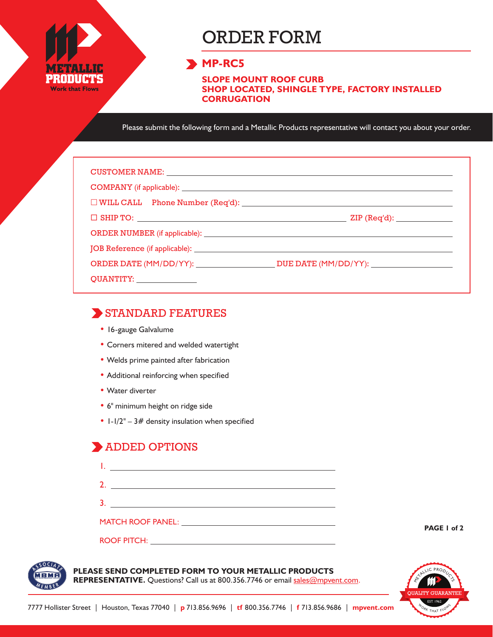

# ORDER FORM

#### **MP-RC5**

**SLOPE MOUNT ROOF CURB SHOP LOCATED, SHINGLE TYPE, FACTORY INSTALLED CORRUGATION**

Please submit the following form and a Metallic Products representative will contact you about your order.

| CUSTOMER NAME: NAME:                          |                                            |
|-----------------------------------------------|--------------------------------------------|
|                                               |                                            |
| $\Box$ WILL CALL Phone Number (Req'd): $\Box$ |                                            |
|                                               | $\mathsf{ZIP}\left(\mathsf{Req'd}\right):$ |
|                                               |                                            |
|                                               |                                            |
|                                               |                                            |
| QUANTITY: ________________                    |                                            |

#### STANDARD FEATURES

- 16-gauge Galvalume
- Corners mitered and welded watertight
- Welds prime painted after fabrication
- Additional reinforcing when specified
- Water diverter
- 6" minimum height on ridge side
- $1-1/2" 3#$  density insulation when specified

### ADDED OPTIONS

| <u>a sa mga barangang ng mga barangang ng mga barangang ng mga barangang ng mga barangang ng mga barangang ng mga </u> |  |  |
|------------------------------------------------------------------------------------------------------------------------|--|--|
|                                                                                                                        |  |  |
|                                                                                                                        |  |  |
| MATCH ROOF PANEL: University of the MATCH ROOF PANEL:                                                                  |  |  |
| <b>ROOF PITCH:</b>                                                                                                     |  |  |

**PAGE 1 of 2**



#### **PLEASE SEND COMPLETED FORM TO YOUR METALLIC PRODUCTS**

REPRESENTATIVE. Questions? Call us at 800.356.7746 or email sales@mpvent.com.